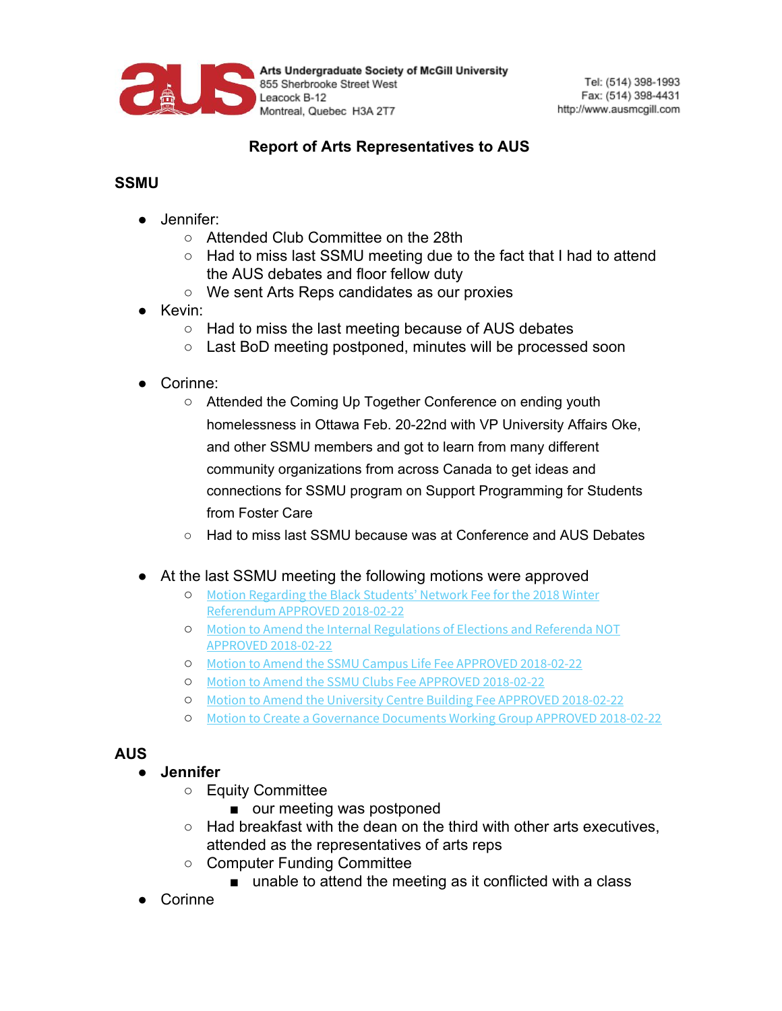

Arts Undergraduate Society of McGill University 855 Sherbrooke Street West Leacock B-12 Montreal, Quebec H3A 2T7

## **Report of Arts Representatives to AUS**

## **SSMU**

- Jennifer:
	- Attended Club Committee on the 28th
	- $\circ$  Had to miss last SSMU meeting due to the fact that I had to attend the AUS debates and floor fellow duty
	- We sent Arts Reps candidates as our proxies
- Kevin:
	- Had to miss the last meeting because of AUS debates
	- Last BoD meeting postponed, minutes will be processed soon
- Corinne:
	- Attended the Coming Up Together Conference on ending youth homelessness in Ottawa Feb. 20-22nd with VP University Affairs Oke, and other SSMU members and got to learn from many different community organizations from across Canada to get ideas and connections for SSMU program on Support Programming for Students from Foster Care
	- Had to miss last SSMU because was at Conference and AUS Debates
- At the last SSMU meeting the following motions were approved
	- Motion [Regarding](http://ssmu.ca/wp-content/uploads/2018/02/Motion-Regarding-the-Black-Students%E2%80%99-Network-Fee-for-the-2018-Winter-Referendum-APPROVED-2018-02-22.pdf?x26516) the Black Students' Network Fee for the 2018 Winter [Referendum](http://ssmu.ca/wp-content/uploads/2018/02/Motion-Regarding-the-Black-Students%E2%80%99-Network-Fee-for-the-2018-Winter-Referendum-APPROVED-2018-02-22.pdf?x26516) APPROVED 2018-02-22
	- Motion to Amend the Internal [Regulations](http://ssmu.ca/wp-content/uploads/2018/02/Motion-to-Amend-the-Internal-Regulations-of-Elections-and-Referenda-NOT-APPROVED2018-02-22.pdf?x26516) of Elections and Referenda NOT APPROVED [2018-02-22](http://ssmu.ca/wp-content/uploads/2018/02/Motion-to-Amend-the-Internal-Regulations-of-Elections-and-Referenda-NOT-APPROVED2018-02-22.pdf?x26516)
	- Motion to Amend the SSMU Campus Life Fee APPROVED [2018-02-22](http://ssmu.ca/wp-content/uploads/2018/02/Motion-to-Amend-the-SSMU-Campus-Life-Fee-APPROVED-2018-02-22.pdf?x26516)
	- Motion to Amend the SSMU Clubs Fee APPROVED [2018-02-22](http://ssmu.ca/wp-content/uploads/2018/02/Motion-to-Amend-the-SSMU-Clubs-Fee-APPROVED-2018-02-22.pdf?x26516)
	- Motion to Amend the University Centre Building Fee APPROVED [2018-02-22](http://ssmu.ca/wp-content/uploads/2018/02/Motion-to-Amend-the-University-Centre-Building-Fee-APPROVED-2018-02-22.pdf?x26516)
	- Motion to Create a [Governance](http://ssmu.ca/wp-content/uploads/2018/02/Motion-to-Create-a-Governance-Documents-Working-Group-APPROVED-2018-02-22.pdf?x26516) Documents Working Group APPROVED 2018-02-22

## **AUS**

## **● Jennifer**

- Equity Committee
	- our meeting was postponed
- $\circ$  Had breakfast with the dean on the third with other arts executives, attended as the representatives of arts reps
- Computer Funding Committee
	- unable to attend the meeting as it conflicted with a class
- **Corinne**